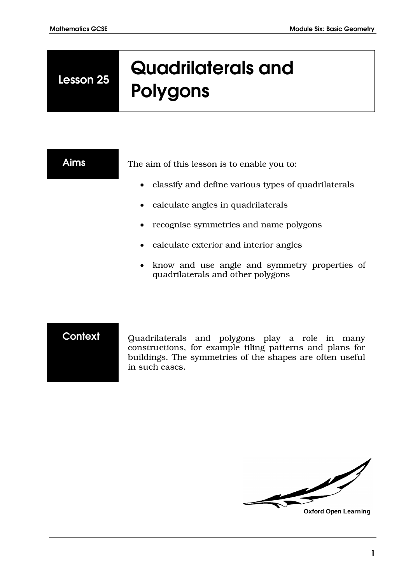**Lesson 25**

# **Quadrilaterals and Polygons**

**Aims** The aim of this lesson is to enable you to:

- classify and define various types of quadrilaterals
- calculate angles in quadrilaterals
- recognise symmetries and name polygons
- calculate exterior and interior angles
- know and use angle and symmetry properties of quadrilaterals and other polygons

**Context** Quadrilaterals and polygons play a role in many constructions, for example tiling patterns and plans for buildings. The symmetries of the shapes are often useful in such cases.

 $\mathscr{L}$ 

**Oxford Open Learning**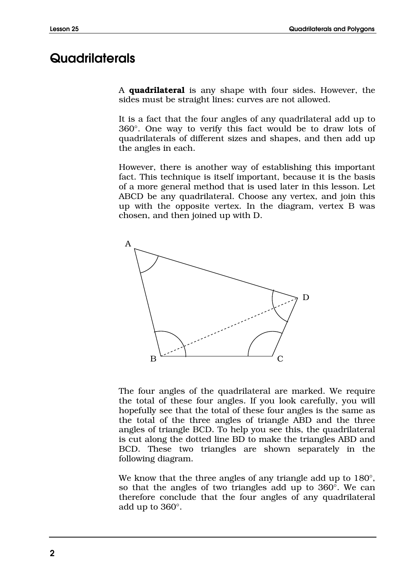# **Quadrilaterals**

A **quadrilateral** is any shape with four sides. However, the sides must be straight lines: curves are not allowed.

It is a fact that the four angles of any quadrilateral add up to 360°. One way to verify this fact would be to draw lots of quadrilaterals of different sizes and shapes, and then add up the angles in each.

However, there is another way of establishing this important fact. This technique is itself important, because it is the basis of a more general method that is used later in this lesson. Let ABCD be any quadrilateral. Choose any vertex, and join this up with the opposite vertex. In the diagram, vertex B was chosen, and then joined up with D.



The four angles of the quadrilateral are marked. We require the total of these four angles. If you look carefully, you will hopefully see that the total of these four angles is the same as the total of the three angles of triangle ABD and the three angles of triangle BCD. To help you see this, the quadrilateral is cut along the dotted line BD to make the triangles ABD and BCD. These two triangles are shown separately in the following diagram.

We know that the three angles of any triangle add up to  $180^{\circ}$ , so that the angles of two triangles add up to 360°. We can therefore conclude that the four angles of any quadrilateral add up to 360°.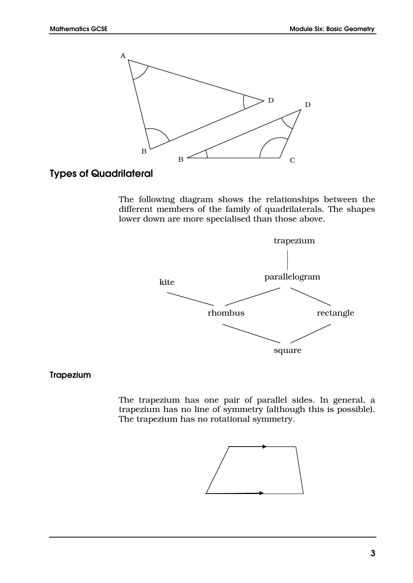

# **Types of Quadrilateral**

The following diagram shows the relationships between the different members of the family of quadrilaterals. The shapes lower down are more specialised than those above.



#### **Trapezium**

The trapezium has one pair of parallel sides. In general, a trapezium has no line of symmetry (although this is possible). The trapezium has no rotational symmetry.

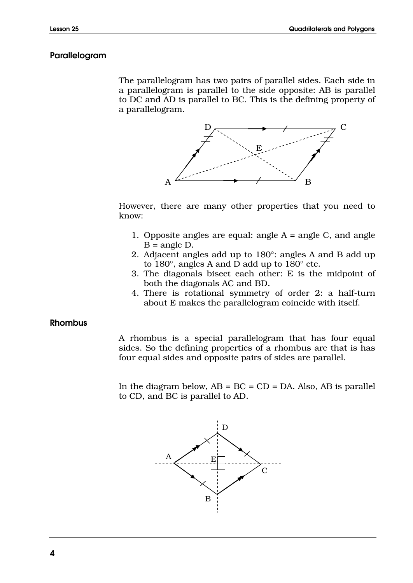#### **Parallelogram**

The parallelogram has two pairs of parallel sides. Each side in a parallelogram is parallel to the side opposite: AB is parallel to DC and AD is parallel to BC. This is the defining property of a parallelogram.



However, there are many other properties that you need to know:

- 1. Opposite angles are equal: angle  $A = \text{angle } C$ , and angle  $B = angle D$ .
- 2. Adjacent angles add up to 180°: angles A and B add up to 180°, angles A and D add up to 180° etc.
- 3. The diagonals bisect each other: E is the midpoint of both the diagonals AC and BD.
- 4. There is rotational symmetry of order 2: a half-turn about E makes the parallelogram coincide with itself.

#### **Rhombus**

A rhombus is a special parallelogram that has four equal sides. So the defining properties of a rhombus are that is has four equal sides and opposite pairs of sides are parallel.

In the diagram below,  $AB = BC = CD = DA$ . Also,  $AB$  is parallel to CD, and BC is parallel to AD.

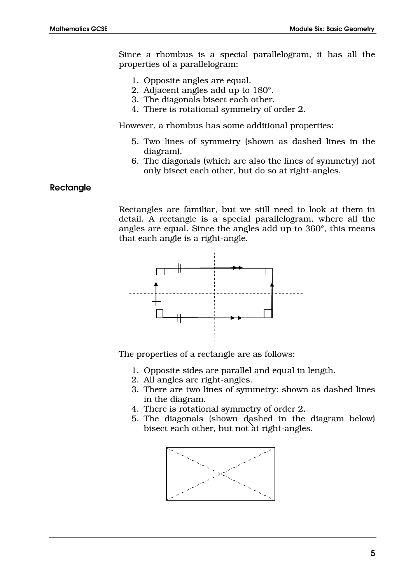Since a rhombus is a special parallelogram, it has all the properties of a parallelogram:

- 1. Opposite angles are equal.
- 2. Adjacent angles add up to 180°.
- 3. The diagonals bisect each other.
- 4. There is rotational symmetry of order 2.

However, a rhombus has some additional properties:

- 5. Two lines of symmetry (shown as dashed lines in the diagram).
- 6. The diagonals (which are also the lines of symmetry) not only bisect each other, but do so at right-angles.

#### **Rectangle**

Rectangles are familiar, but we still need to look at them in detail. A rectangle is a special parallelogram, where all the angles are equal. Since the angles add up to 360°, this means that each angle is a right-angle.



The properties of a rectangle are as follows:

- 1. Opposite sides are parallel and equal in length.
- 2. All angles are right-angles.
- 3. There are two lines of symmetry: shown as dashed lines in the diagram.
- 4. There is rotational symmetry of order 2.
- 5. The diagonals (shown dashed in the diagram below) bisect each other, but not at right-angles.

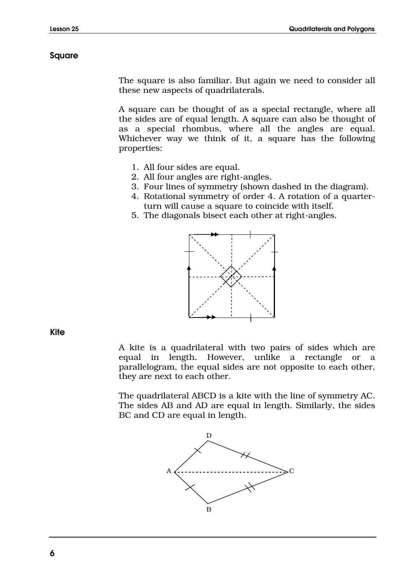#### **Square**

The square is also familiar. But again we need to consider all these new aspects of quadrilaterals.

A square can be thought of as a special rectangle, where all the sides are of equal length. A square can also be thought of as a special rhombus, where all the angles are equal. Whichever way we think of it, a square has the following properties:

- 1. All four sides are equal.
- 2. All four angles are right-angles.
- 3. Four lines of symmetry (shown dashed in the diagram).
- 4. Rotational symmetry of order 4. A rotation of a quarterturn will cause a square to coincide with itself.
- 5. The diagonals bisect each other at right-angles.



**Kite**

A kite is a quadrilateral with two pairs of sides which are equal in length. However, unlike a rectangle or a parallelogram, the equal sides are not opposite to each other, they are next to each other.

The quadrilateral ABCD is a kite with the line of symmetry AC. The sides AB and AD are equal in length. Similarly, the sides BC and CD are equal in length.

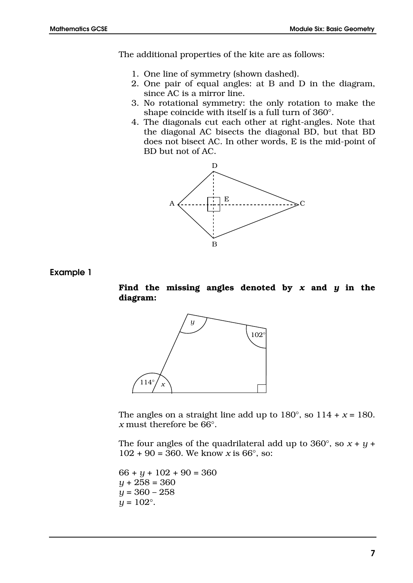The additional properties of the kite are as follows:

- 1. One line of symmetry (shown dashed).
- 2. One pair of equal angles: at B and D in the diagram, since AC is a mirror line.
- 3. No rotational symmetry: the only rotation to make the shape coincide with itself is a full turn of 360°.
- 4. The diagonals cut each other at right-angles. Note that the diagonal AC bisects the diagonal BD, but that BD does not bisect AC. In other words, E is the mid-point of BD but not of AC.



**Example 1**

**Find the missing angles denoted by** *x* **and** *y* **in the diagram:**



The angles on a straight line add up to  $180^{\circ}$ , so  $114 + x = 180$ . *x* must therefore be 66°.

The four angles of the quadrilateral add up to  $360^{\circ}$ , so  $x + y +$  $102 + 90 = 360$ . We know *x* is 66 $^{\circ}$ , so:

 $66 + y + 102 + 90 = 360$ *y* + 258 = 360 *y* = 360 – 258  $y = 102$ °.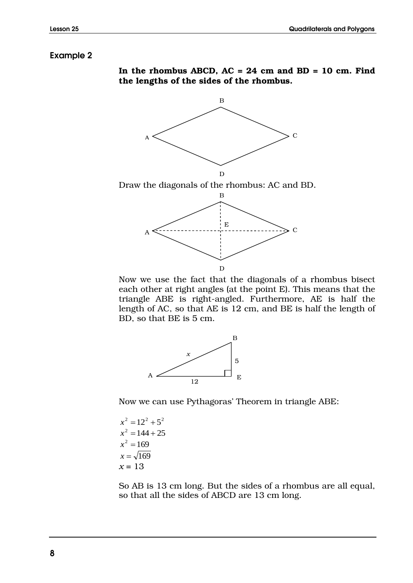#### **Example 2**





Now we use the fact that the diagonals of a rhombus bisect each other at right angles (at the point E). This means that the triangle ABE is right-angled. Furthermore, AE is half the length of AC, so that AE is 12 cm, and BE is half the length of BD, so that BE is 5 cm.



Now we can use Pythagoras' Theorem in triangle ABE:

$$
x2 = 122 + 52
$$

$$
x2 = 144 + 25
$$

$$
x2 = 169
$$

$$
x = \sqrt{169}
$$

$$
x = 13
$$

So AB is 13 cm long. But the sides of a rhombus are all equal, so that all the sides of ABCD are 13 cm long.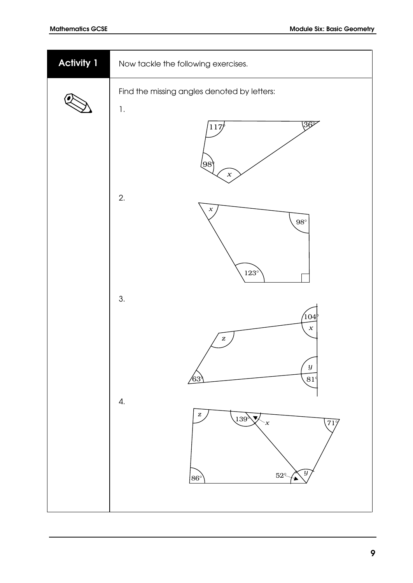| <b>Activity 1</b> | Now tackle the following exercises.                                                                                                                                                                                     |
|-------------------|-------------------------------------------------------------------------------------------------------------------------------------------------------------------------------------------------------------------------|
|                   | Find the missing angles denoted by letters:<br>$\mathbf{l}.$<br>$\sqrt{36^\circ}$<br>117/<br>[98]<br>$\boldsymbol{x}$<br>2.<br>$\boldsymbol{x}$<br>$98^\circ$<br>$123^\circ$                                            |
|                   | 3.<br> 104 <br>$\boldsymbol{x}$<br>$\boldsymbol{z}$<br>$\boldsymbol{y}$<br>63<br>$(81^\circ$<br>4.<br>$\boldsymbol{z}$<br>$139^{\lambda}$<br>$\blacktriangledown$<br>(71)<br>$\cdot x$<br>y<br>$52^\circ$<br>$86^\circ$ |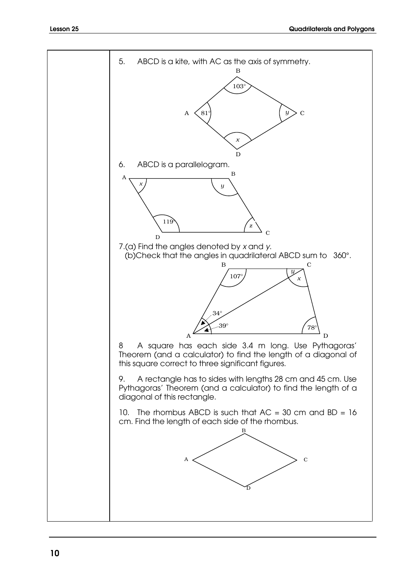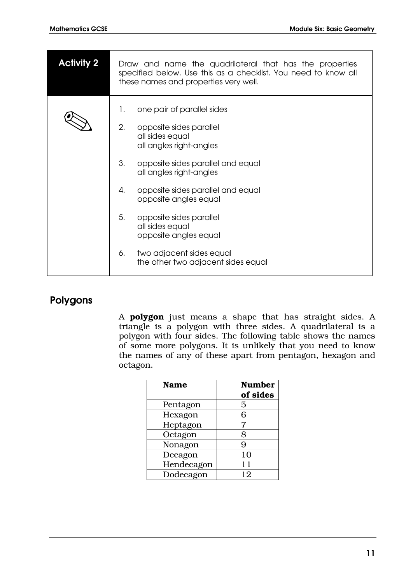| <b>Activity 2</b> | Draw and name the quadrilateral that has the properties<br>specified below. Use this as a checklist. You need to know all<br>these names and properties very well. |
|-------------------|--------------------------------------------------------------------------------------------------------------------------------------------------------------------|
|                   | one pair of parallel sides<br>1.<br>2.<br>opposite sides parallel<br>all sides equal<br>all angles right-angles                                                    |
|                   | 3.<br>opposite sides parallel and equal<br>all angles right-angles                                                                                                 |
|                   | opposite sides parallel and equal<br>4.<br>opposite angles equal                                                                                                   |
|                   | 5.<br>opposite sides parallel<br>all sides equal<br>opposite angles equal                                                                                          |
|                   | two adjacent sides equal<br>6.<br>the other two adjacent sides equal                                                                                               |

# **Polygons**

A **polygon** just means a shape that has straight sides. A triangle is a polygon with three sides. A quadrilateral is a polygon with four sides. The following table shows the names of some more polygons. It is unlikely that you need to know the names of any of these apart from pentagon, hexagon and octagon.

| <b>Name</b> | <b>Number</b><br>of sides |
|-------------|---------------------------|
| Pentagon    | 5                         |
| Hexagon     | 6                         |
| Heptagon    | 7                         |
| Octagon     | 8                         |
| Nonagon     | 9                         |
| Decagon     | 10                        |
| Hendecagon  | 11                        |
| Dodecagon   | 12                        |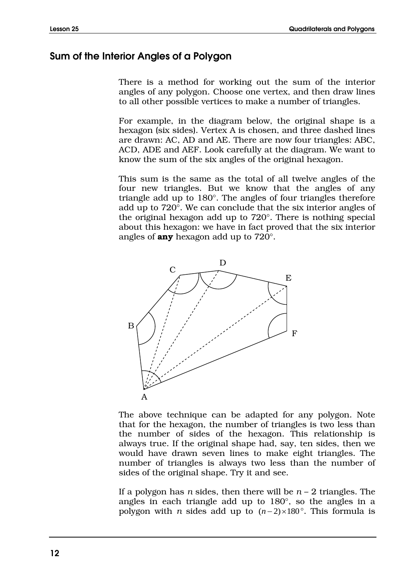## **Sum of the Interior Angles of a Polygon**

There is a method for working out the sum of the interior angles of any polygon. Choose one vertex, and then draw lines to all other possible vertices to make a number of triangles.

For example, in the diagram below, the original shape is a hexagon (six sides). Vertex A is chosen, and three dashed lines are drawn: AC, AD and AE. There are now four triangles: ABC, ACD, ADE and AEF. Look carefully at the diagram. We want to know the sum of the six angles of the original hexagon.

This sum is the same as the total of all twelve angles of the four new triangles. But we know that the angles of any triangle add up to 180°. The angles of four triangles therefore add up to 720°. We can conclude that the six interior angles of the original hexagon add up to 720°. There is nothing special about this hexagon: we have in fact proved that the six interior angles of **any** hexagon add up to 720°.



The above technique can be adapted for any polygon. Note that for the hexagon, the number of triangles is two less than the number of sides of the hexagon. This relationship is always true. If the original shape had, say, ten sides, then we would have drawn seven lines to make eight triangles. The number of triangles is always two less than the number of sides of the original shape. Try it and see.

If a polygon has *n* sides, then there will be *n* – 2 triangles. The angles in each triangle add up to 180°, so the angles in a polygon with *n* sides add up to  $(n-2) \times 180^\circ$ . This formula is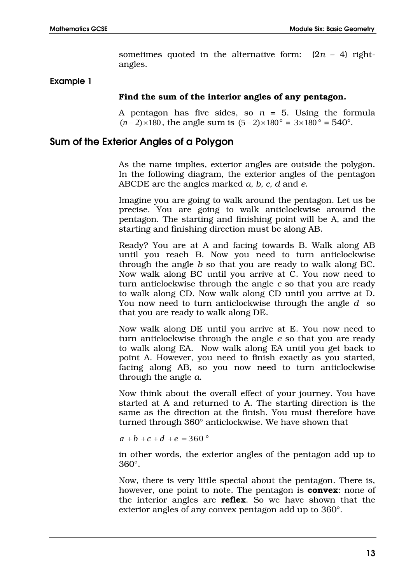sometimes quoted in the alternative form:  $(2n - 4)$  rightangles.

#### **Example 1**

#### **Find the sum of the interior angles of any pentagon.**

A pentagon has five sides, so  $n = 5$ . Using the formula  $(n-2) \times 180$ , the angle sum is  $(5-2) \times 180^\circ = 3 \times 180^\circ = 540^\circ$ .

### **Sum of the Exterior Angles of a Polygon**

As the name implies, exterior angles are outside the polygon. In the following diagram, the exterior angles of the pentagon ABCDE are the angles marked *a, b, c, d* and *e*.

Imagine you are going to walk around the pentagon. Let us be precise. You are going to walk anticlockwise around the pentagon. The starting and finishing point will be A, and the starting and finishing direction must be along AB.

Ready? You are at A and facing towards B. Walk along AB until you reach B. Now you need to turn anticlockwise through the angle *b* so that you are ready to walk along BC. Now walk along BC until you arrive at C. You now need to turn anticlockwise through the angle *c* so that you are ready to walk along CD. Now walk along CD until you arrive at D. You now need to turn anticlockwise through the angle *d* so that you are ready to walk along DE.

Now walk along DE until you arrive at E. You now need to turn anticlockwise through the angle *e* so that you are ready to walk along EA. Now walk along EA until you get back to point A. However, you need to finish exactly as you started, facing along AB, so you now need to turn anticlockwise through the angle *a*.

Now think about the overall effect of your journey. You have started at A and returned to A. The starting direction is the same as the direction at the finish. You must therefore have turned through 360° anticlockwise. We have shown that

 $a + b + c + d + e = 360^\circ$ 

in other words, the exterior angles of the pentagon add up to 360°.

Now, there is very little special about the pentagon. There is, however, one point to note. The pentagon is **convex**: none of the interior angles are **reflex**. So we have shown that the exterior angles of any convex pentagon add up to 360°.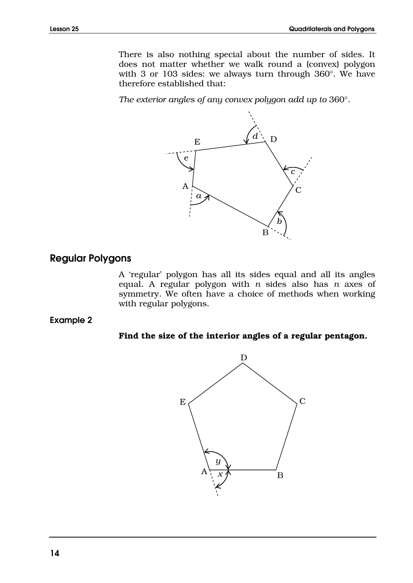There is also nothing special about the number of sides. It does not matter whether we walk round a (convex) polygon with 3 or 103 sides: we always turn through 360°. We have therefore established that:

*The exterior angles of any convex polygon add up to* 360°.



#### **Regular Polygons**

A 'regular' polygon has all its sides equal and all its angles equal. A regular polygon with *n* sides also has *n* axes of symmetry. We often have a choice of methods when working with regular polygons.

**Example 2**

#### **Find the size of the interior angles of a regular pentagon.**

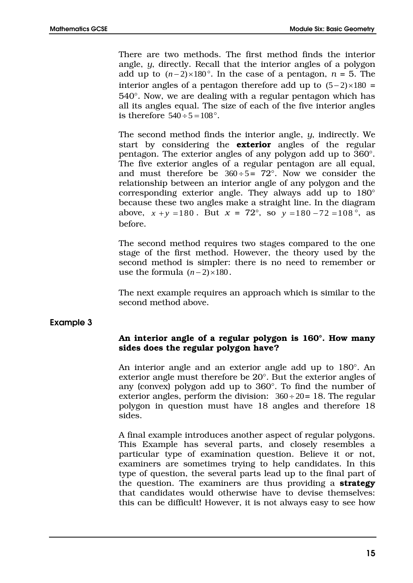There are two methods. The first method finds the interior angle, *y*, directly. Recall that the interior angles of a polygon add up to  $(n-2) \times 180^\circ$ . In the case of a pentagon,  $n = 5$ . The interior angles of a pentagon therefore add up to  $(5-2) \times 180 =$ 540°. Now, we are dealing with a regular pentagon which has all its angles equal. The size of each of the five interior angles is therefore  $540 \div 5 = 108$ °.

The second method finds the interior angle, *y*, indirectly. We start by considering the **exterior** angles of the regular pentagon. The exterior angles of any polygon add up to 360°. The five exterior angles of a regular pentagon are all equal, and must therefore be  $360 \div 5 = 72^\circ$ . Now we consider the relationship between an interior angle of any polygon and the corresponding exterior angle. They always add up to 180° because these two angles make a straight line. In the diagram above,  $x + y = 180$ . But  $x = 72^{\circ}$ , so  $y = 180 - 72 = 108^{\circ}$ , as before.

The second method requires two stages compared to the one stage of the first method. However, the theory used by the second method is simpler: there is no need to remember or use the formula  $(n-2) \times 180$ .

The next example requires an approach which is similar to the second method above.

### **Example 3**

#### **An interior angle of a regular polygon is 160°. How many sides does the regular polygon have?**

An interior angle and an exterior angle add up to 180°. An exterior angle must therefore be 20°. But the exterior angles of any (convex) polygon add up to 360°. To find the number of exterior angles, perform the division:  $360 \div 20 = 18$ . The regular polygon in question must have 18 angles and therefore 18 sides.

A final example introduces another aspect of regular polygons. This Example has several parts, and closely resembles a particular type of examination question. Believe it or not, examiners are sometimes trying to help candidates. In this type of question, the several parts lead up to the final part of the question. The examiners are thus providing a **strategy** that candidates would otherwise have to devise themselves: this can be difficult! However, it is not always easy to see how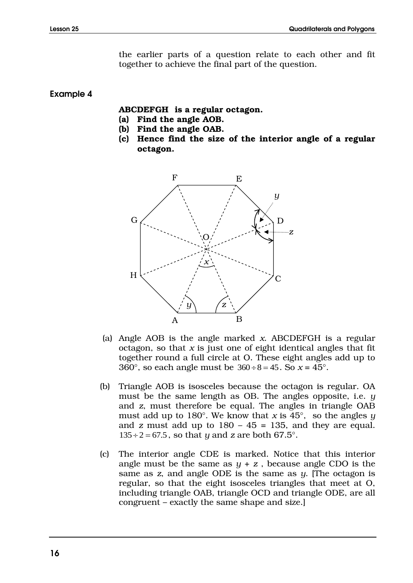the earlier parts of a question relate to each other and fit together to achieve the final part of the question.

#### **Example 4**

#### **ABCDEFGH is a regular octagon.**

- **(a) Find the angle AOB.**
- **(b) Find the angle OAB.**
- **(c) Hence find the size of the interior angle of a regular octagon.**



- (a) Angle AOB is the angle marked *x*. ABCDEFGH is a regular octagon, so that  $x$  is just one of eight identical angles that fit together round a full circle at O. These eight angles add up to 360 $^{\circ}$ , so each angle must be  $360 \div 8 = 45$ . So  $x = 45^{\circ}$ .
- (b) Triangle AOB is isosceles because the octagon is regular. OA must be the same length as OB. The angles opposite, i.e. *y*  and *z*, must therefore be equal. The angles in triangle OAB must add up to 180 $^{\circ}$ . We know that *x* is 45 $^{\circ}$ , so the angles *y* and  $\alpha$  must add up to  $180 - 45 = 135$ , and they are equal.  $135 \div 2 = 67.5$ , so that *y* and *z* are both 67.5°.
- (c) The interior angle CDE is marked. Notice that this interior angle must be the same as  $y + z$ , because angle CDO is the same as *z*, and angle ODE is the same as *y*. [The octagon is regular, so that the eight isosceles triangles that meet at O, including triangle OAB, triangle OCD and triangle ODE, are all congruent – exactly the same shape and size.]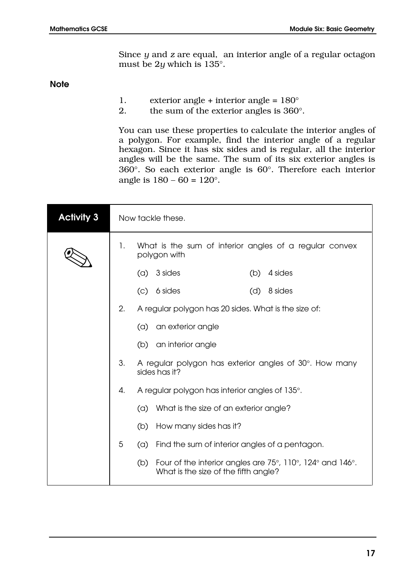Since *y* and *z* are equal, an interior angle of a regular octagon must be 2*y* which is 135°.

**Note**

- 1. exterior angle + interior angle =  $180^\circ$
- 2. the sum of the exterior angles is  $360^\circ$ .

You can use these properties to calculate the interior angles of a polygon. For example, find the interior angle of a regular hexagon. Since it has six sides and is regular, all the interior angles will be the same. The sum of its six exterior angles is  $360^\circ$ . So each exterior angle is  $60^\circ$ . Therefore each interior angle is  $180 - 60 = 120^{\circ}$ .

| <b>Activity 3</b> |    | Now tackle these.                                                                                        |  |
|-------------------|----|----------------------------------------------------------------------------------------------------------|--|
|                   | 1. | What is the sum of interior angles of a regular convex<br>polygon with                                   |  |
|                   |    | 3 sides<br>4 sides<br>(a)<br>(b)                                                                         |  |
|                   |    | 6 sides<br>8 sides<br>$\left( \circ \right)$<br>(d)                                                      |  |
|                   | 2. | A regular polygon has 20 sides. What is the size of:                                                     |  |
|                   |    | an exterior angle<br>(a)                                                                                 |  |
|                   |    | an interior angle<br>(b)                                                                                 |  |
|                   | 3. | A regular polygon has exterior angles of 30°. How many<br>sides has it?                                  |  |
|                   | 4. | A regular polygon has interior angles of 135°.                                                           |  |
|                   |    | What is the size of an exterior angle?<br>(a)                                                            |  |
|                   |    | How many sides has it?<br>(b)                                                                            |  |
|                   | 5  | Find the sum of interior angles of a pentagon.<br>(a)                                                    |  |
|                   |    | Four of the interior angles are 75°, 110°, 124° and 146°.<br>(b)<br>What is the size of the fifth angle? |  |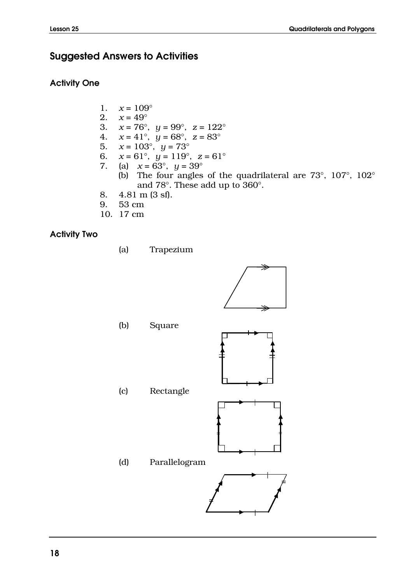# **Suggested Answers to Activities**

#### **Activity One**

- 1.  $x = 109^\circ$
- 2.  $x = 49^\circ$
- 3.  $x = 76^{\circ}$ ,  $y = 99^{\circ}$ ,  $z = 122^{\circ}$
- 4.  $x = 41^\circ$ ,  $y = 68^\circ$ ,  $z = 83^\circ$
- 5.  $x = 103^\circ, y = 73^\circ$
- 6. *x* = 61°, *y* = 119°, *z* = 61°
- 7. (a)  $x = 63^\circ$ ,  $y = 39^\circ$ 
	- (b) The four angles of the quadrilateral are 73°, 107°, 102° and 78°. These add up to 360°.
- 8. 4.81 m (3 sf).
- 9. 53 cm
- 10. 17 cm

### **Activity Two**

(a) Trapezium



- (b) Square
- (c) Rectangle



**|**

(d) Parallelogram **| = =**